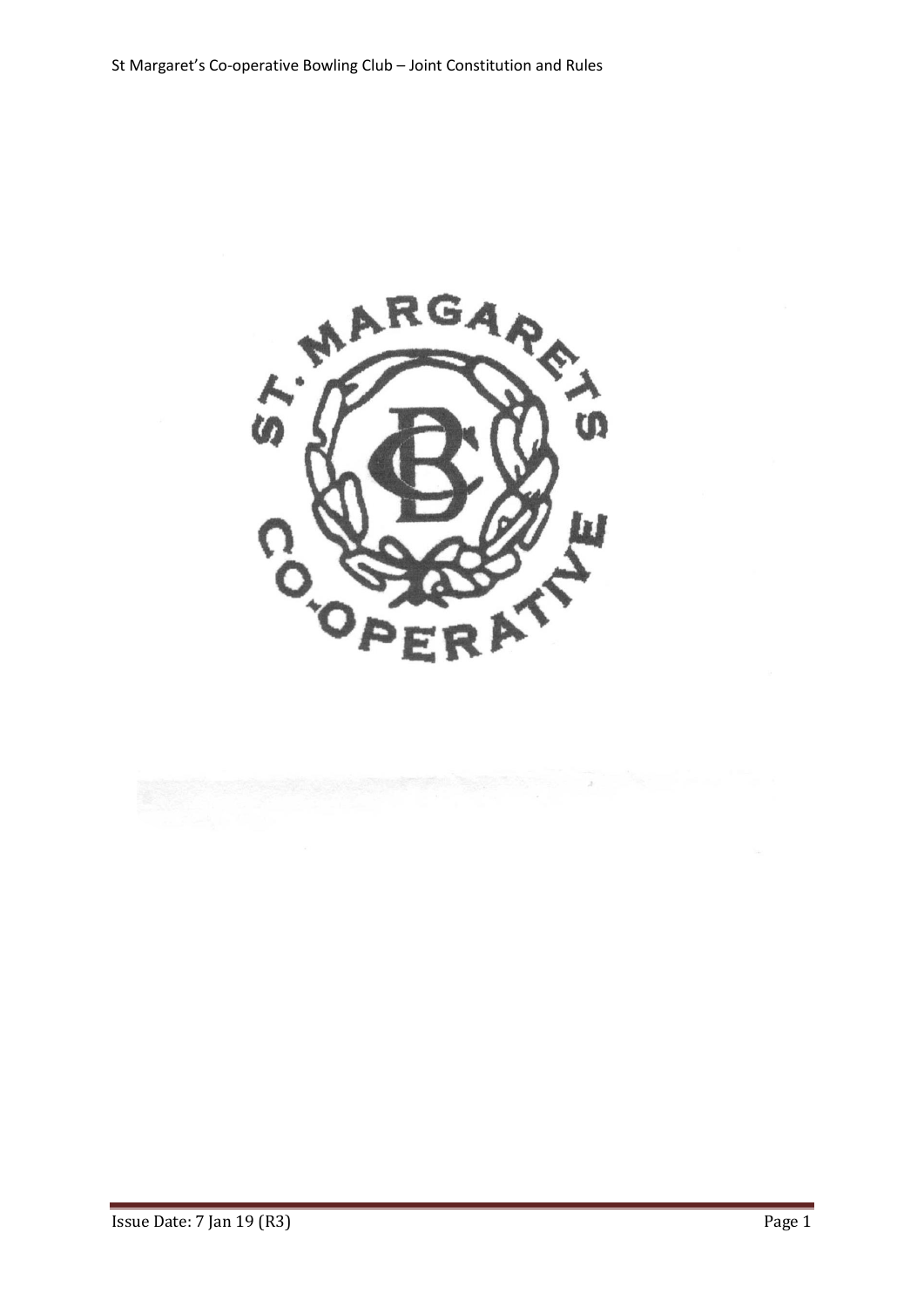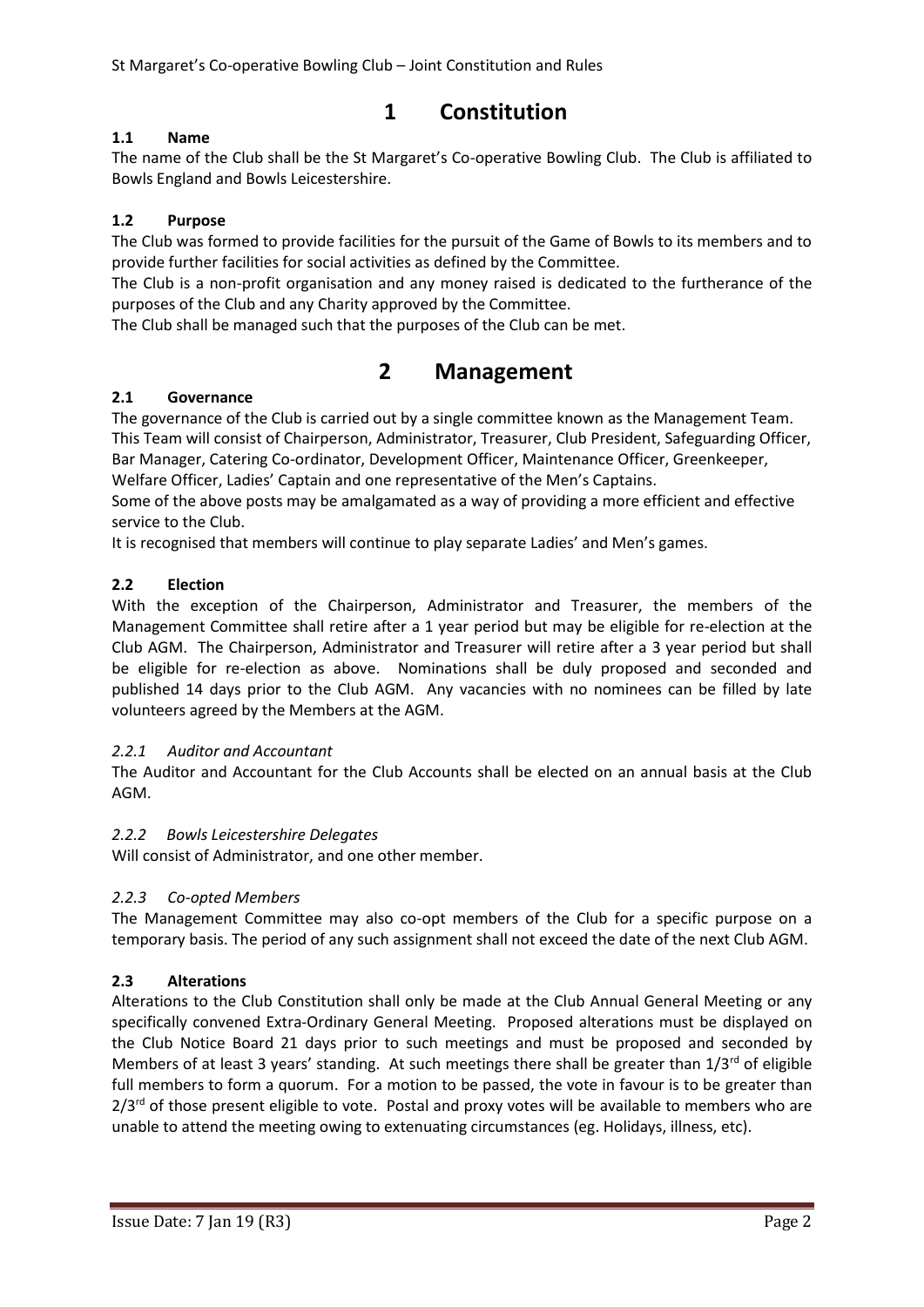St Margaret's Co-operative Bowling Club – Joint Constitution and Rules

# **1 Constitution**

# **1.1 Name**

The name of the Club shall be the St Margaret's Co-operative Bowling Club. The Club is affiliated to Bowls England and Bowls Leicestershire.

# **1.2 Purpose**

The Club was formed to provide facilities for the pursuit of the Game of Bowls to its members and to provide further facilities for social activities as defined by the Committee.

The Club is a non-profit organisation and any money raised is dedicated to the furtherance of the purposes of the Club and any Charity approved by the Committee.

The Club shall be managed such that the purposes of the Club can be met.

# **2 Management**

# **2.1 Governance**

The governance of the Club is carried out by a single committee known as the Management Team. This Team will consist of Chairperson, Administrator, Treasurer, Club President, Safeguarding Officer, Bar Manager, Catering Co-ordinator, Development Officer, Maintenance Officer, Greenkeeper, Welfare Officer, Ladies' Captain and one representative of the Men's Captains.

Some of the above posts may be amalgamated as a way of providing a more efficient and effective service to the Club.

It is recognised that members will continue to play separate Ladies' and Men's games.

# **2.2 Election**

With the exception of the Chairperson, Administrator and Treasurer, the members of the Management Committee shall retire after a 1 year period but may be eligible for re-election at the Club AGM. The Chairperson, Administrator and Treasurer will retire after a 3 year period but shall be eligible for re-election as above. Nominations shall be duly proposed and seconded and published 14 days prior to the Club AGM. Any vacancies with no nominees can be filled by late volunteers agreed by the Members at the AGM.

# *2.2.1 Auditor and Accountant*

The Auditor and Accountant for the Club Accounts shall be elected on an annual basis at the Club AGM.

# *2.2.2 Bowls Leicestershire Delegates*

Will consist of Administrator, and one other member.

# *2.2.3 Co-opted Members*

The Management Committee may also co-opt members of the Club for a specific purpose on a temporary basis. The period of any such assignment shall not exceed the date of the next Club AGM.

# **2.3 Alterations**

Alterations to the Club Constitution shall only be made at the Club Annual General Meeting or any specifically convened Extra-Ordinary General Meeting. Proposed alterations must be displayed on the Club Notice Board 21 days prior to such meetings and must be proposed and seconded by Members of at least 3 years' standing. At such meetings there shall be greater than  $1/3^{rd}$  of eligible full members to form a quorum. For a motion to be passed, the vote in favour is to be greater than  $2/3$ <sup>rd</sup> of those present eligible to vote. Postal and proxy votes will be available to members who are unable to attend the meeting owing to extenuating circumstances (eg. Holidays, illness, etc).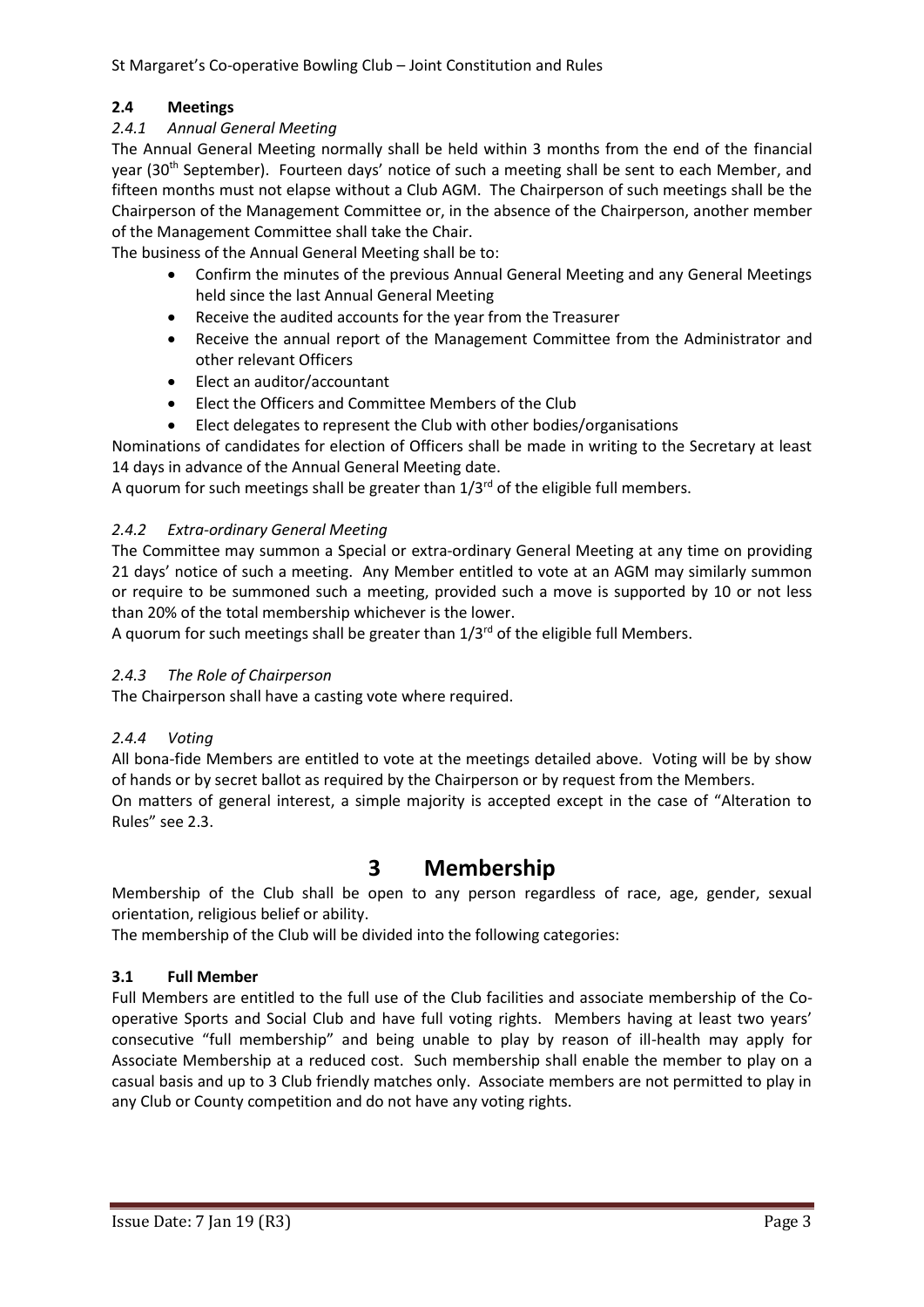# **2.4 Meetings**

# *2.4.1 Annual General Meeting*

The Annual General Meeting normally shall be held within 3 months from the end of the financial year (30<sup>th</sup> September). Fourteen days' notice of such a meeting shall be sent to each Member, and fifteen months must not elapse without a Club AGM. The Chairperson of such meetings shall be the Chairperson of the Management Committee or, in the absence of the Chairperson, another member of the Management Committee shall take the Chair.

The business of the Annual General Meeting shall be to:

- Confirm the minutes of the previous Annual General Meeting and any General Meetings held since the last Annual General Meeting
- Receive the audited accounts for the year from the Treasurer
- Receive the annual report of the Management Committee from the Administrator and other relevant Officers
- Elect an auditor/accountant
- Elect the Officers and Committee Members of the Club
- Elect delegates to represent the Club with other bodies/organisations

Nominations of candidates for election of Officers shall be made in writing to the Secretary at least 14 days in advance of the Annual General Meeting date.

A quorum for such meetings shall be greater than  $1/3<sup>rd</sup>$  of the eligible full members.

# *2.4.2 Extra-ordinary General Meeting*

The Committee may summon a Special or extra-ordinary General Meeting at any time on providing 21 days' notice of such a meeting. Any Member entitled to vote at an AGM may similarly summon or require to be summoned such a meeting, provided such a move is supported by 10 or not less than 20% of the total membership whichever is the lower.

A quorum for such meetings shall be greater than  $1/3<sup>rd</sup>$  of the eligible full Members.

# *2.4.3 The Role of Chairperson*

The Chairperson shall have a casting vote where required.

# *2.4.4 Voting*

All bona-fide Members are entitled to vote at the meetings detailed above. Voting will be by show of hands or by secret ballot as required by the Chairperson or by request from the Members.

On matters of general interest, a simple majority is accepted except in the case of "Alteration to Rules" see 2.3.

# **3 Membership**

Membership of the Club shall be open to any person regardless of race, age, gender, sexual orientation, religious belief or ability.

The membership of the Club will be divided into the following categories:

# **3.1 Full Member**

Full Members are entitled to the full use of the Club facilities and associate membership of the Cooperative Sports and Social Club and have full voting rights. Members having at least two years' consecutive "full membership" and being unable to play by reason of ill-health may apply for Associate Membership at a reduced cost. Such membership shall enable the member to play on a casual basis and up to 3 Club friendly matches only. Associate members are not permitted to play in any Club or County competition and do not have any voting rights.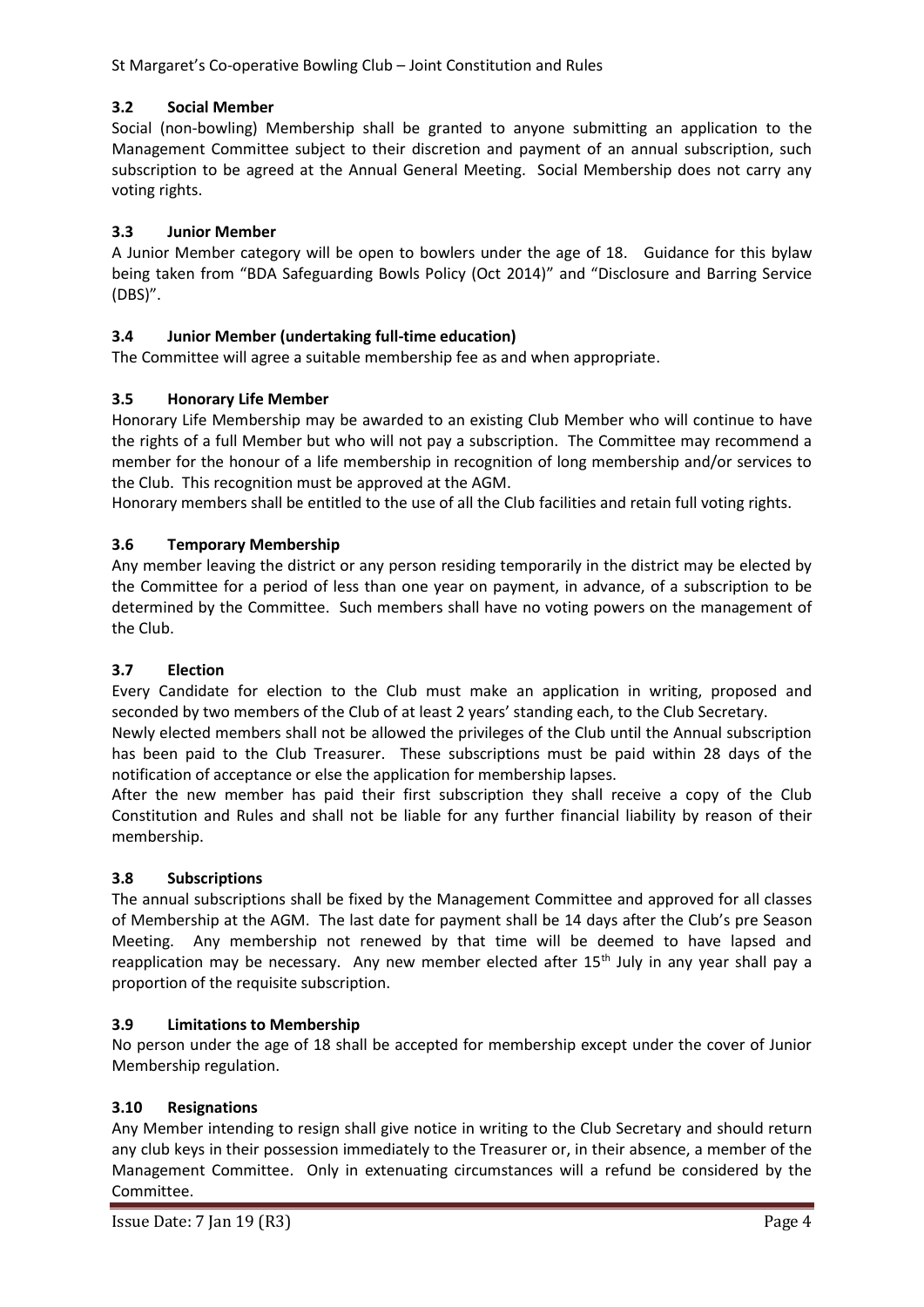St Margaret's Co-operative Bowling Club – Joint Constitution and Rules

# **3.2 Social Member**

Social (non-bowling) Membership shall be granted to anyone submitting an application to the Management Committee subject to their discretion and payment of an annual subscription, such subscription to be agreed at the Annual General Meeting. Social Membership does not carry any voting rights.

# **3.3 Junior Member**

A Junior Member category will be open to bowlers under the age of 18. Guidance for this bylaw being taken from "BDA Safeguarding Bowls Policy (Oct 2014)" and "Disclosure and Barring Service (DBS)".

# **3.4 Junior Member (undertaking full-time education)**

The Committee will agree a suitable membership fee as and when appropriate.

# **3.5 Honorary Life Member**

Honorary Life Membership may be awarded to an existing Club Member who will continue to have the rights of a full Member but who will not pay a subscription. The Committee may recommend a member for the honour of a life membership in recognition of long membership and/or services to the Club. This recognition must be approved at the AGM.

Honorary members shall be entitled to the use of all the Club facilities and retain full voting rights.

# **3.6 Temporary Membership**

Any member leaving the district or any person residing temporarily in the district may be elected by the Committee for a period of less than one year on payment, in advance, of a subscription to be determined by the Committee. Such members shall have no voting powers on the management of the Club.

# **3.7 Election**

Every Candidate for election to the Club must make an application in writing, proposed and seconded by two members of the Club of at least 2 years' standing each, to the Club Secretary.

Newly elected members shall not be allowed the privileges of the Club until the Annual subscription has been paid to the Club Treasurer. These subscriptions must be paid within 28 days of the notification of acceptance or else the application for membership lapses.

After the new member has paid their first subscription they shall receive a copy of the Club Constitution and Rules and shall not be liable for any further financial liability by reason of their membership.

# **3.8 Subscriptions**

The annual subscriptions shall be fixed by the Management Committee and approved for all classes of Membership at the AGM. The last date for payment shall be 14 days after the Club's pre Season Meeting. Any membership not renewed by that time will be deemed to have lapsed and reapplication may be necessary. Any new member elected after 15<sup>th</sup> July in any year shall pay a proportion of the requisite subscription.

# **3.9 Limitations to Membership**

No person under the age of 18 shall be accepted for membership except under the cover of Junior Membership regulation.

# **3.10 Resignations**

Any Member intending to resign shall give notice in writing to the Club Secretary and should return any club keys in their possession immediately to the Treasurer or, in their absence, a member of the Management Committee. Only in extenuating circumstances will a refund be considered by the Committee.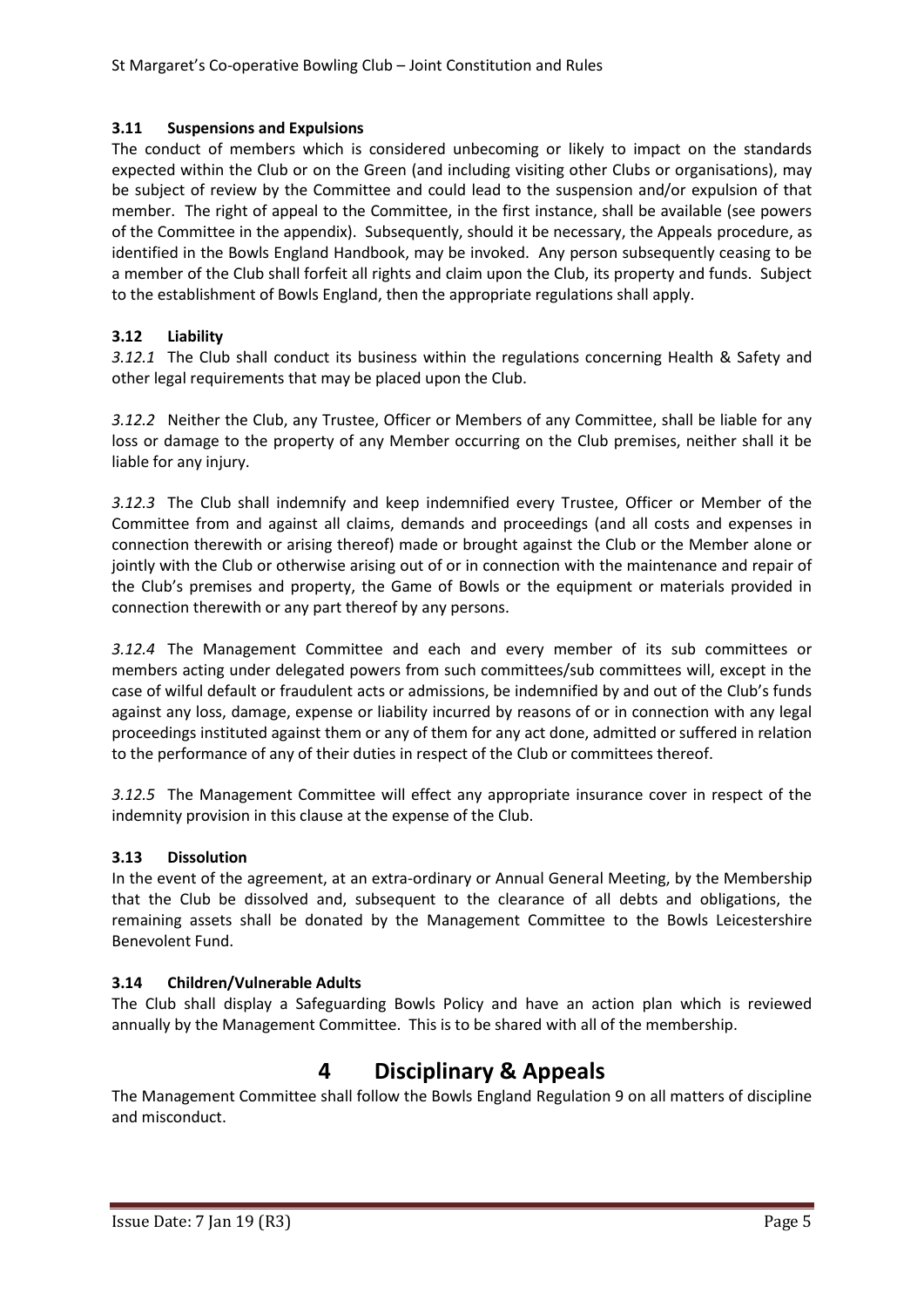# **3.11 Suspensions and Expulsions**

The conduct of members which is considered unbecoming or likely to impact on the standards expected within the Club or on the Green (and including visiting other Clubs or organisations), may be subject of review by the Committee and could lead to the suspension and/or expulsion of that member. The right of appeal to the Committee, in the first instance, shall be available (see powers of the Committee in the appendix). Subsequently, should it be necessary, the Appeals procedure, as identified in the Bowls England Handbook, may be invoked. Any person subsequently ceasing to be a member of the Club shall forfeit all rights and claim upon the Club, its property and funds. Subject to the establishment of Bowls England, then the appropriate regulations shall apply.

# **3.12 Liability**

*3.12.1* The Club shall conduct its business within the regulations concerning Health & Safety and other legal requirements that may be placed upon the Club.

*3.12.2* Neither the Club, any Trustee, Officer or Members of any Committee, shall be liable for any loss or damage to the property of any Member occurring on the Club premises, neither shall it be liable for any injury.

*3.12.3* The Club shall indemnify and keep indemnified every Trustee, Officer or Member of the Committee from and against all claims, demands and proceedings (and all costs and expenses in connection therewith or arising thereof) made or brought against the Club or the Member alone or jointly with the Club or otherwise arising out of or in connection with the maintenance and repair of the Club's premises and property, the Game of Bowls or the equipment or materials provided in connection therewith or any part thereof by any persons.

*3.12.4* The Management Committee and each and every member of its sub committees or members acting under delegated powers from such committees/sub committees will, except in the case of wilful default or fraudulent acts or admissions, be indemnified by and out of the Club's funds against any loss, damage, expense or liability incurred by reasons of or in connection with any legal proceedings instituted against them or any of them for any act done, admitted or suffered in relation to the performance of any of their duties in respect of the Club or committees thereof.

*3.12.5* The Management Committee will effect any appropriate insurance cover in respect of the indemnity provision in this clause at the expense of the Club.

# **3.13 Dissolution**

In the event of the agreement, at an extra-ordinary or Annual General Meeting, by the Membership that the Club be dissolved and, subsequent to the clearance of all debts and obligations, the remaining assets shall be donated by the Management Committee to the Bowls Leicestershire Benevolent Fund.

# **3.14 Children/Vulnerable Adults**

The Club shall display a Safeguarding Bowls Policy and have an action plan which is reviewed annually by the Management Committee. This is to be shared with all of the membership.

# **4 Disciplinary & Appeals**

The Management Committee shall follow the Bowls England Regulation 9 on all matters of discipline and misconduct.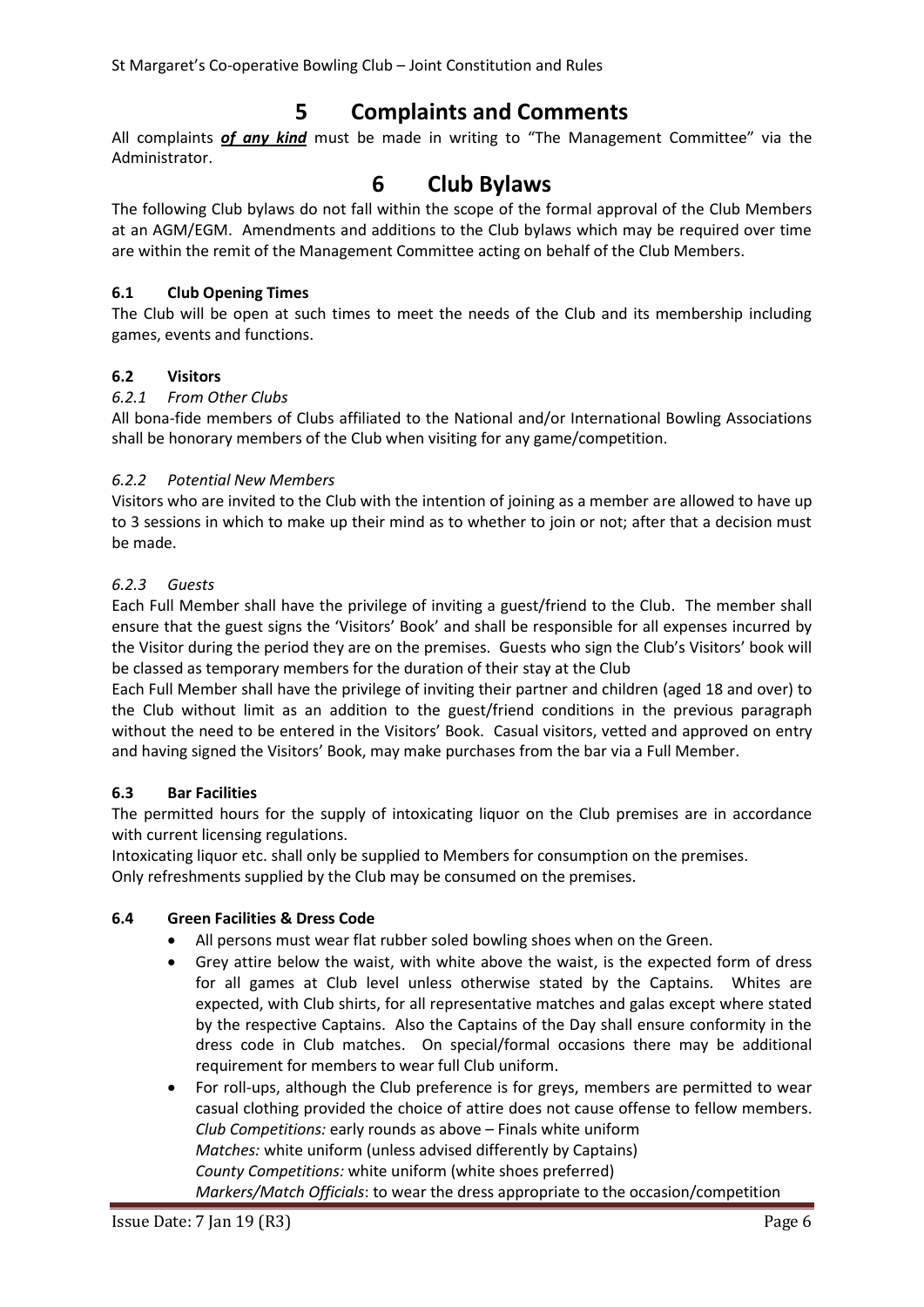# **5 Complaints and Comments**

All complaints *of any kind* must be made in writing to "The Management Committee" via the Administrator.

# **6 Club Bylaws**

The following Club bylaws do not fall within the scope of the formal approval of the Club Members at an AGM/EGM. Amendments and additions to the Club bylaws which may be required over time are within the remit of the Management Committee acting on behalf of the Club Members.

# **6.1 Club Opening Times**

The Club will be open at such times to meet the needs of the Club and its membership including games, events and functions.

# **6.2 Visitors**

# *6.2.1 From Other Clubs*

All bona-fide members of Clubs affiliated to the National and/or International Bowling Associations shall be honorary members of the Club when visiting for any game/competition.

# *6.2.2 Potential New Members*

Visitors who are invited to the Club with the intention of joining as a member are allowed to have up to 3 sessions in which to make up their mind as to whether to join or not; after that a decision must be made.

# *6.2.3 Guests*

Each Full Member shall have the privilege of inviting a guest/friend to the Club. The member shall ensure that the guest signs the 'Visitors' Book' and shall be responsible for all expenses incurred by the Visitor during the period they are on the premises. Guests who sign the Club's Visitors' book will be classed as temporary members for the duration of their stay at the Club

Each Full Member shall have the privilege of inviting their partner and children (aged 18 and over) to the Club without limit as an addition to the guest/friend conditions in the previous paragraph without the need to be entered in the Visitors' Book. Casual visitors, vetted and approved on entry and having signed the Visitors' Book, may make purchases from the bar via a Full Member.

# **6.3 Bar Facilities**

The permitted hours for the supply of intoxicating liquor on the Club premises are in accordance with current licensing regulations.

Intoxicating liquor etc. shall only be supplied to Members for consumption on the premises. Only refreshments supplied by the Club may be consumed on the premises.

# **6.4 Green Facilities & Dress Code**

- All persons must wear flat rubber soled bowling shoes when on the Green.
- Grey attire below the waist, with white above the waist, is the expected form of dress for all games at Club level unless otherwise stated by the Captains. Whites are expected, with Club shirts, for all representative matches and galas except where stated by the respective Captains. Also the Captains of the Day shall ensure conformity in the dress code in Club matches. On special/formal occasions there may be additional requirement for members to wear full Club uniform.
- For roll-ups, although the Club preference is for greys, members are permitted to wear casual clothing provided the choice of attire does not cause offense to fellow members. *Club Competitions:* early rounds as above – Finals white uniform *Matches:* white uniform (unless advised differently by Captains) *County Competitions:* white uniform (white shoes preferred) *Markers/Match Officials*: to wear the dress appropriate to the occasion/competition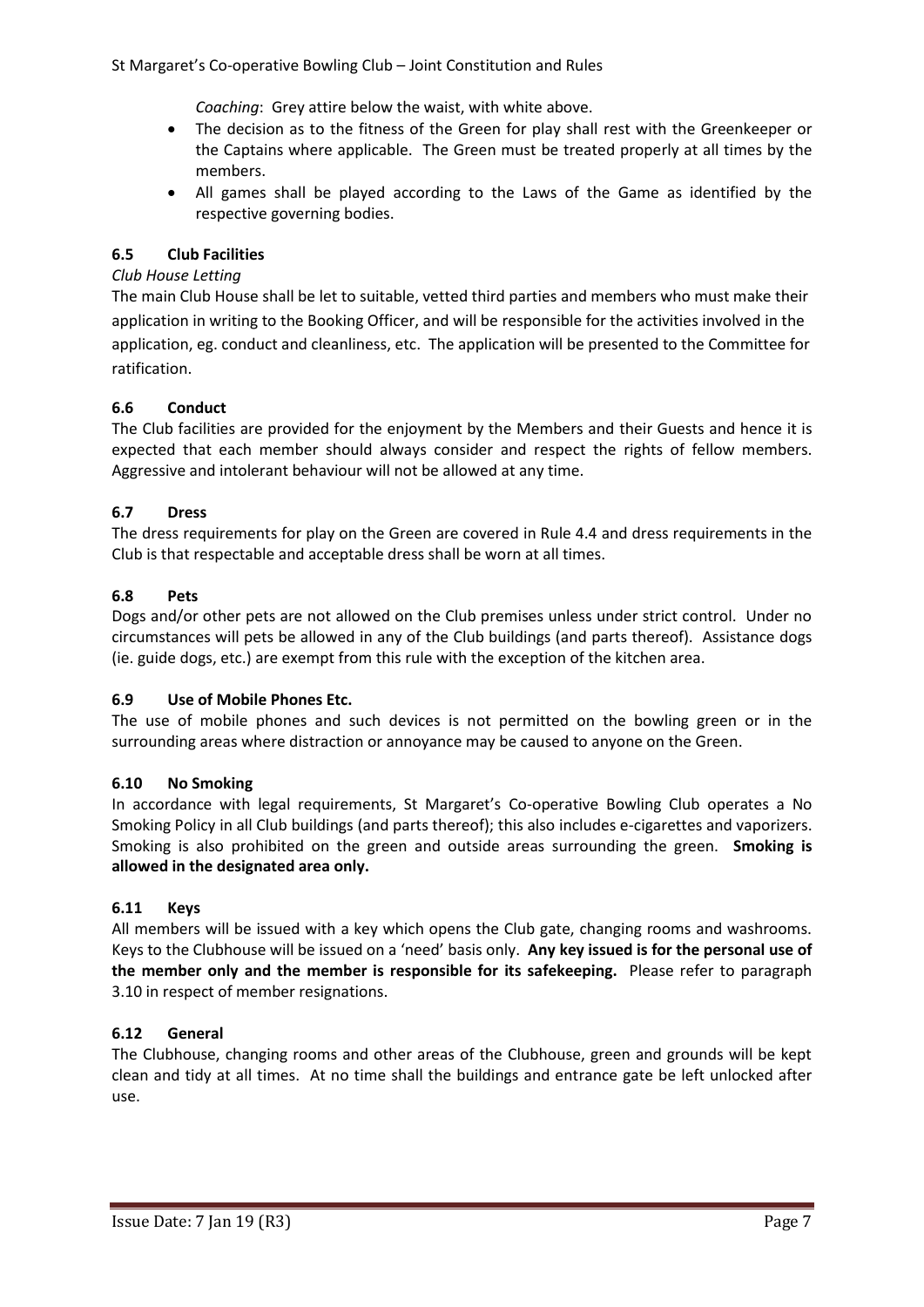St Margaret's Co-operative Bowling Club – Joint Constitution and Rules

*Coaching*: Grey attire below the waist, with white above.

- The decision as to the fitness of the Green for play shall rest with the Greenkeeper or the Captains where applicable. The Green must be treated properly at all times by the members.
- All games shall be played according to the Laws of the Game as identified by the respective governing bodies.

# **6.5 Club Facilities**

#### *Club House Letting*

The main Club House shall be let to suitable, vetted third parties and members who must make their application in writing to the Booking Officer, and will be responsible for the activities involved in the application, eg. conduct and cleanliness, etc. The application will be presented to the Committee for ratification.

### **6.6 Conduct**

The Club facilities are provided for the enjoyment by the Members and their Guests and hence it is expected that each member should always consider and respect the rights of fellow members. Aggressive and intolerant behaviour will not be allowed at any time.

### **6.7 Dress**

The dress requirements for play on the Green are covered in Rule 4.4 and dress requirements in the Club is that respectable and acceptable dress shall be worn at all times.

#### **6.8 Pets**

Dogs and/or other pets are not allowed on the Club premises unless under strict control. Under no circumstances will pets be allowed in any of the Club buildings (and parts thereof). Assistance dogs (ie. guide dogs, etc.) are exempt from this rule with the exception of the kitchen area.

#### **6.9 Use of Mobile Phones Etc.**

The use of mobile phones and such devices is not permitted on the bowling green or in the surrounding areas where distraction or annoyance may be caused to anyone on the Green.

#### **6.10 No Smoking**

In accordance with legal requirements, St Margaret's Co-operative Bowling Club operates a No Smoking Policy in all Club buildings (and parts thereof); this also includes e-cigarettes and vaporizers. Smoking is also prohibited on the green and outside areas surrounding the green. **Smoking is allowed in the designated area only.**

#### **6.11 Keys**

All members will be issued with a key which opens the Club gate, changing rooms and washrooms. Keys to the Clubhouse will be issued on a 'need' basis only. **Any key issued is for the personal use of the member only and the member is responsible for its safekeeping.** Please refer to paragraph 3.10 in respect of member resignations.

# **6.12 General**

The Clubhouse, changing rooms and other areas of the Clubhouse, green and grounds will be kept clean and tidy at all times. At no time shall the buildings and entrance gate be left unlocked after use.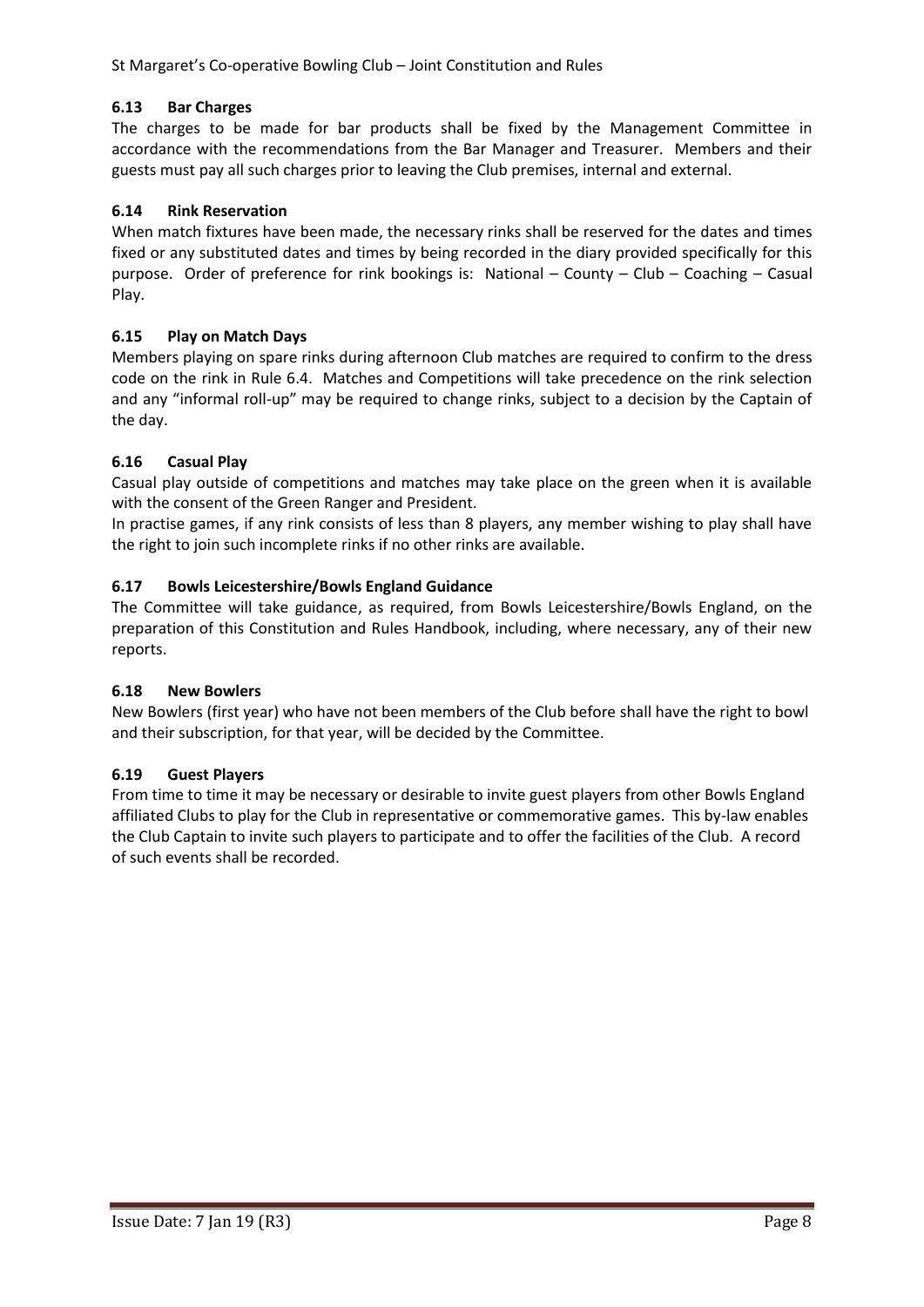# **6.13 Bar Charges**

The charges to be made for bar products shall be fixed by the Management Committee in accordance with the recommendations from the Bar Manager and Treasurer. Members and their guests must pay all such charges prior to leaving the Club premises, internal and external.

# **6.14 Rink Reservation**

When match fixtures have been made, the necessary rinks shall be reserved for the dates and times fixed or any substituted dates and times by being recorded in the diary provided specifically for this purpose. Order of preference for rink bookings is: National – County – Club – Coaching – Casual Play.

### **6.15 Play on Match Days**

Members playing on spare rinks during afternoon Club matches are required to confirm to the dress code on the rink in Rule 6.4. Matches and Competitions will take precedence on the rink selection and any "informal roll-up" may be required to change rinks, subject to a decision by the Captain of the day.

### **6.16 Casual Play**

Casual play outside of competitions and matches may take place on the green when it is available with the consent of the Green Ranger and President.

In practise games, if any rink consists of less than 8 players, any member wishing to play shall have the right to join such incomplete rinks if no other rinks are available.

### **6.17 Bowls Leicestershire/Bowls England Guidance**

The Committee will take guidance, as required, from Bowls Leicestershire/Bowls England, on the preparation of this Constitution and Rules Handbook, including, where necessary, any of their new reports.

#### **6.18 New Bowlers**

New Bowlers (first year) who have not been members of the Club before shall have the right to bowl and their subscription, for that year, will be decided by the Committee.

#### **6.19 Guest Players**

From time to time it may be necessary or desirable to invite guest players from other Bowls England affiliated Clubs to play for the Club in representative or commemorative games. This by-law enables the Club Captain to invite such players to participate and to offer the facilities of the Club. A record of such events shall be recorded.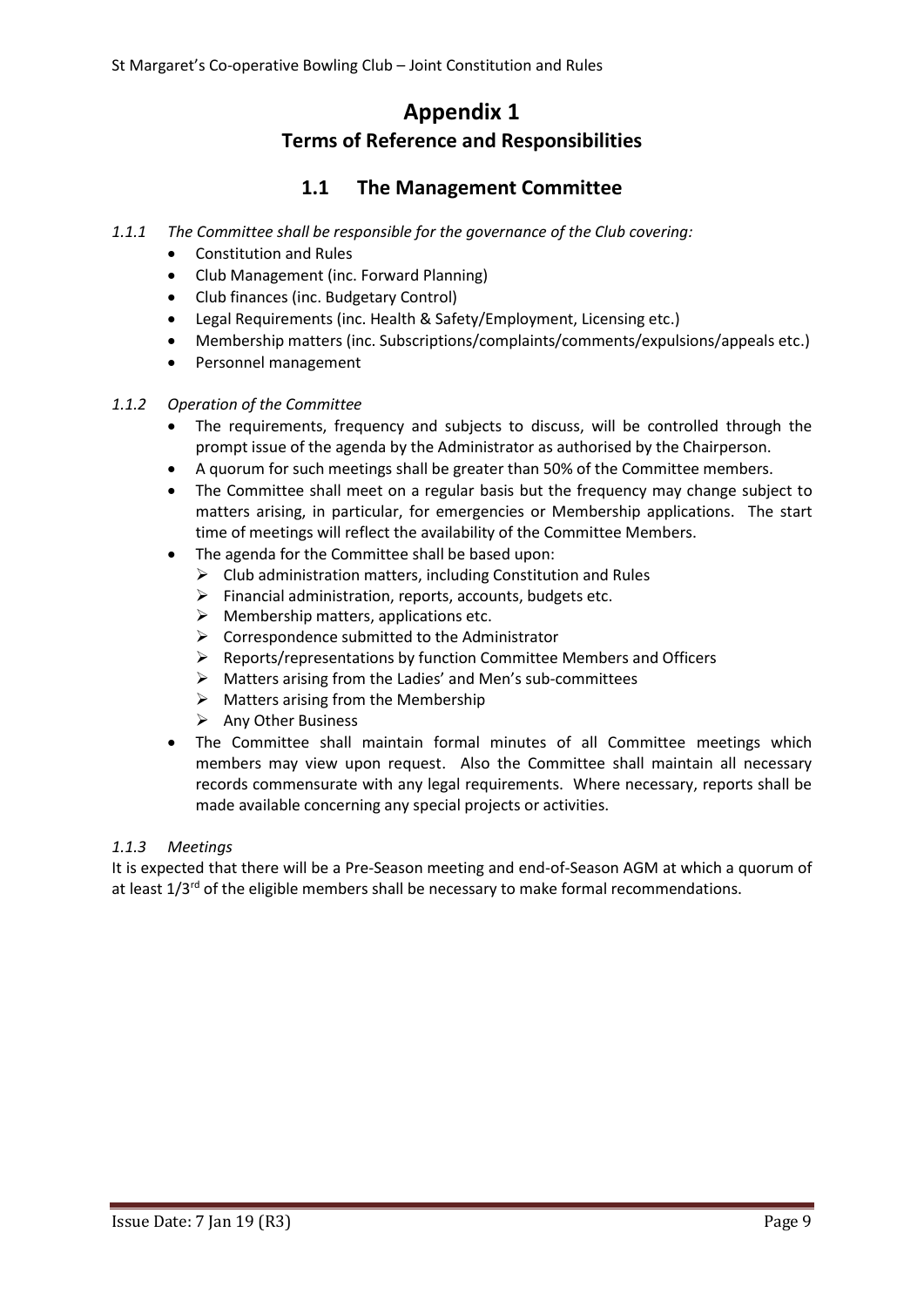# **Appendix 1 Terms of Reference and Responsibilities**

# **1.1 The Management Committee**

- *1.1.1 The Committee shall be responsible for the governance of the Club covering:*
	- Constitution and Rules
	- Club Management (inc. Forward Planning)
	- Club finances (inc. Budgetary Control)
	- Legal Requirements (inc. Health & Safety/Employment, Licensing etc.)
	- Membership matters (inc. Subscriptions/complaints/comments/expulsions/appeals etc.)
	- Personnel management

# *1.1.2 Operation of the Committee*

- The requirements, frequency and subjects to discuss, will be controlled through the prompt issue of the agenda by the Administrator as authorised by the Chairperson.
- A quorum for such meetings shall be greater than 50% of the Committee members.
- The Committee shall meet on a regular basis but the frequency may change subject to matters arising, in particular, for emergencies or Membership applications. The start time of meetings will reflect the availability of the Committee Members.
- The agenda for the Committee shall be based upon:
	- $\triangleright$  Club administration matters, including Constitution and Rules
	- $\triangleright$  Financial administration, reports, accounts, budgets etc.
	- $\triangleright$  Membership matters, applications etc.
	- $\triangleright$  Correspondence submitted to the Administrator
	- $\triangleright$  Reports/representations by function Committee Members and Officers
	- $\triangleright$  Matters arising from the Ladies' and Men's sub-committees
	- $\triangleright$  Matters arising from the Membership
	- $\triangleright$  Any Other Business
- The Committee shall maintain formal minutes of all Committee meetings which members may view upon request. Also the Committee shall maintain all necessary records commensurate with any legal requirements. Where necessary, reports shall be made available concerning any special projects or activities.

# *1.1.3 Meetings*

It is expected that there will be a Pre-Season meeting and end-of-Season AGM at which a quorum of at least  $1/3<sup>rd</sup>$  of the eligible members shall be necessary to make formal recommendations.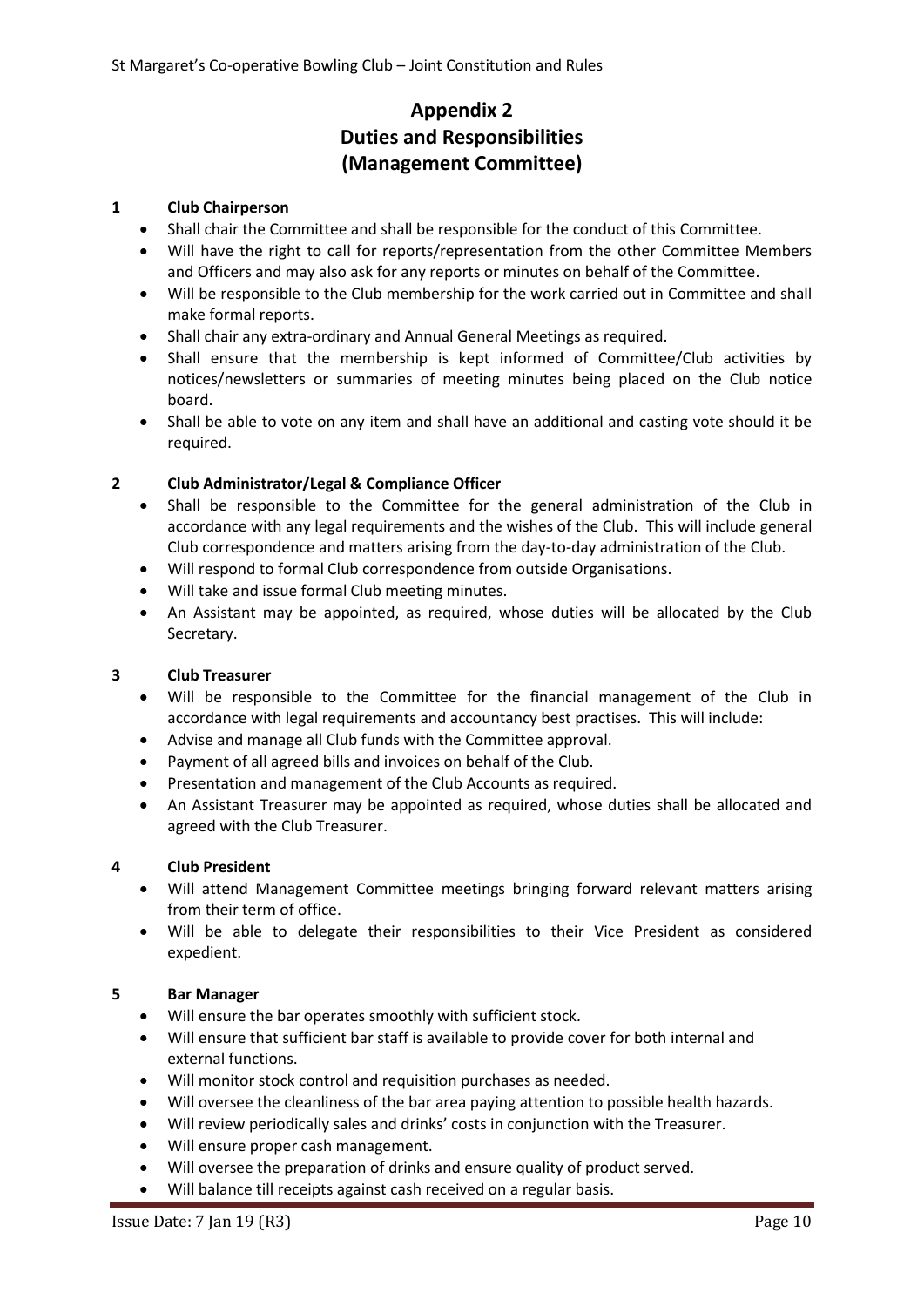# **Appendix 2 Duties and Responsibilities (Management Committee)**

### **1 Club Chairperson**

- Shall chair the Committee and shall be responsible for the conduct of this Committee.
- Will have the right to call for reports/representation from the other Committee Members and Officers and may also ask for any reports or minutes on behalf of the Committee.
- Will be responsible to the Club membership for the work carried out in Committee and shall make formal reports.
- Shall chair any extra-ordinary and Annual General Meetings as required.
- Shall ensure that the membership is kept informed of Committee/Club activities by notices/newsletters or summaries of meeting minutes being placed on the Club notice board.
- Shall be able to vote on any item and shall have an additional and casting vote should it be required.

### **2 Club Administrator/Legal & Compliance Officer**

- Shall be responsible to the Committee for the general administration of the Club in accordance with any legal requirements and the wishes of the Club. This will include general Club correspondence and matters arising from the day-to-day administration of the Club.
- Will respond to formal Club correspondence from outside Organisations.
- Will take and issue formal Club meeting minutes.
- An Assistant may be appointed, as required, whose duties will be allocated by the Club Secretary.

#### **3 Club Treasurer**

- Will be responsible to the Committee for the financial management of the Club in accordance with legal requirements and accountancy best practises. This will include:
- Advise and manage all Club funds with the Committee approval.
- Payment of all agreed bills and invoices on behalf of the Club.
- Presentation and management of the Club Accounts as required.
- An Assistant Treasurer may be appointed as required, whose duties shall be allocated and agreed with the Club Treasurer.

#### **4 Club President**

- Will attend Management Committee meetings bringing forward relevant matters arising from their term of office.
- Will be able to delegate their responsibilities to their Vice President as considered expedient.

#### **5 Bar Manager**

- Will ensure the bar operates smoothly with sufficient stock.
- Will ensure that sufficient bar staff is available to provide cover for both internal and external functions.
- Will monitor stock control and requisition purchases as needed.
- Will oversee the cleanliness of the bar area paying attention to possible health hazards.
- Will review periodically sales and drinks' costs in conjunction with the Treasurer.
- Will ensure proper cash management.
- Will oversee the preparation of drinks and ensure quality of product served.
- Will balance till receipts against cash received on a regular basis.